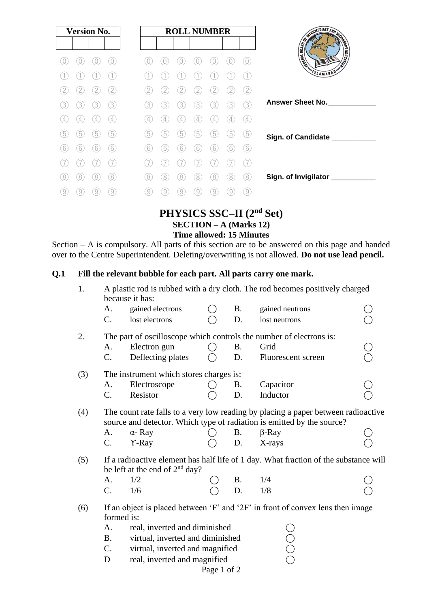| <b>Version No.</b>  | <b>ROLL NUMBER</b>                                                                                                                                              | SWITH FINALE AND SECOND          |
|---------------------|-----------------------------------------------------------------------------------------------------------------------------------------------------------------|----------------------------------|
|                     |                                                                                                                                                                 | <b>EDUCATION</b><br><b>THERE</b> |
|                     |                                                                                                                                                                 | <b>SLAMABAD</b>                  |
| 2                   | [2]                                                                                                                                                             |                                  |
| 3<br>3<br>3<br>3    | 3<br>3<br>3<br>3<br>3<br>3<br>3                                                                                                                                 | <b>Answer Sheet No.</b>          |
| $\overline{4}$<br>4 | $[4] % \includegraphics[width=0.9\columnwidth]{figures/fig_4} \caption{A graph with the same time of the top of the top of the right.} \label{fig:2}$<br>4<br>4 |                                  |
| 5<br>5<br>5<br>5    | 5<br>5<br>5<br>5<br>5<br>5<br>b                                                                                                                                 | Sign. of Candidate ___           |
| 6<br>6<br>6<br>b    | 6<br>6<br>6<br>6<br>6<br>b                                                                                                                                      |                                  |
|                     |                                                                                                                                                                 |                                  |
| 8<br>8<br>8<br>8    | 8<br>8<br>8<br>8<br>8<br>8<br>8                                                                                                                                 | Sign. of Invigilator ___________ |
| 9<br>9<br>9         | $\overline{9}$<br>9<br>9<br>9<br>9                                                                                                                              |                                  |

# **PHYSICS SSC–II (2nd Set) SECTION – A (Marks 12) Time allowed: 15 Minutes**

Section – A is compulsory. All parts of this section are to be answered on this page and handed over to the Centre Superintendent. Deleting/overwriting is not allowed. **Do not use lead pencil.**

## **Q.1 Fill the relevant bubble for each part. All parts carry one mark.**

| 1.  | A plastic rod is rubbed with a dry cloth. The rod becomes positively charged<br>because it has:                                                             |                                                                     |  |           |                    |  |  |  |  |  |
|-----|-------------------------------------------------------------------------------------------------------------------------------------------------------------|---------------------------------------------------------------------|--|-----------|--------------------|--|--|--|--|--|
|     | A.                                                                                                                                                          | gained electrons                                                    |  | <b>B.</b> | gained neutrons    |  |  |  |  |  |
|     | $C_{\cdot}$                                                                                                                                                 | lost electrons                                                      |  | D.        | lost neutrons      |  |  |  |  |  |
| 2.  |                                                                                                                                                             | The part of oscilloscope which controls the number of electrons is: |  |           |                    |  |  |  |  |  |
|     | A.                                                                                                                                                          | Electron gun                                                        |  | <b>B.</b> | Grid               |  |  |  |  |  |
|     | $\mathbf{C}$ .                                                                                                                                              | Deflecting plates                                                   |  | D.        | Fluorescent screen |  |  |  |  |  |
| (3) | The instrument which stores charges is:                                                                                                                     |                                                                     |  |           |                    |  |  |  |  |  |
|     | A.                                                                                                                                                          | Electroscope                                                        |  | <b>B.</b> | Capacitor          |  |  |  |  |  |
|     | C.                                                                                                                                                          | Resistor                                                            |  | D.        | Inductor           |  |  |  |  |  |
| (4) | The count rate falls to a very low reading by placing a paper between radioactive<br>source and detector. Which type of radiation is emitted by the source? |                                                                     |  |           |                    |  |  |  |  |  |
|     | A.                                                                                                                                                          | $\alpha$ - Ray                                                      |  | <b>B.</b> | $\beta$ -Ray       |  |  |  |  |  |
|     | $C_{\cdot}$                                                                                                                                                 | $Y$ -Ray                                                            |  | D.        | X-rays             |  |  |  |  |  |
| (5) | If a radioactive element has half life of 1 day. What fraction of the substance will<br>be left at the end of $2nd$ day?                                    |                                                                     |  |           |                    |  |  |  |  |  |
|     | $A_{\cdot}$                                                                                                                                                 | 1/2                                                                 |  | Β.        | 1/4                |  |  |  |  |  |
|     | $\mathcal{C}$ .                                                                                                                                             | 1/6                                                                 |  | D.        | 1/8                |  |  |  |  |  |
| (6) | If an object is placed between 'F' and '2F' in front of convex lens then image                                                                              |                                                                     |  |           |                    |  |  |  |  |  |
|     | formed is:                                                                                                                                                  |                                                                     |  |           |                    |  |  |  |  |  |
|     | real, inverted and diminished<br>A.                                                                                                                         |                                                                     |  |           |                    |  |  |  |  |  |
|     | <b>B.</b><br>virtual, inverted and diminished                                                                                                               |                                                                     |  |           |                    |  |  |  |  |  |
|     | $C$ .                                                                                                                                                       | virtual, inverted and magnified                                     |  |           |                    |  |  |  |  |  |

D real, inverted and magnified  $\overline{O}$ 

Page 1 of 2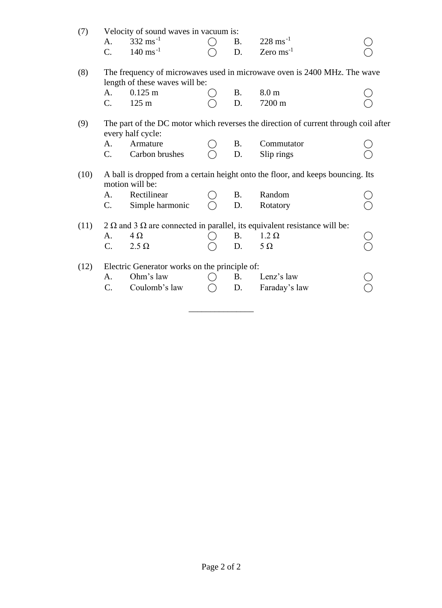| (7)  | Velocity of sound waves in vacuum is:                                                                    |                                               |  |           |                                                                                         |  |  |  |
|------|----------------------------------------------------------------------------------------------------------|-----------------------------------------------|--|-----------|-----------------------------------------------------------------------------------------|--|--|--|
|      | A.                                                                                                       | $332 \text{ ms}^{-1}$                         |  | <b>B.</b> | $228 \text{ ms}^{-1}$                                                                   |  |  |  |
|      | $\overline{C}$ .                                                                                         | $140 \text{ ms}^{-1}$                         |  | D.        | Zero $\text{ms}^{-1}$                                                                   |  |  |  |
| (8)  | The frequency of microwaves used in microwave oven is 2400 MHz. The wave                                 |                                               |  |           |                                                                                         |  |  |  |
|      |                                                                                                          | length of these waves will be:                |  |           |                                                                                         |  |  |  |
|      | A.                                                                                                       | $0.125 \text{ m}$                             |  | B.        | 8.0 <sub>m</sub>                                                                        |  |  |  |
|      | C.                                                                                                       | $125 \text{ m}$                               |  | D.        | 7200 m                                                                                  |  |  |  |
| (9)  | The part of the DC motor which reverses the direction of current through coil after<br>every half cycle: |                                               |  |           |                                                                                         |  |  |  |
|      | A.                                                                                                       | Armature                                      |  | <b>B.</b> | Commutator                                                                              |  |  |  |
|      | C.                                                                                                       | Carbon brushes                                |  | D.        | Slip rings                                                                              |  |  |  |
| (10) | A ball is dropped from a certain height onto the floor, and keeps bouncing. Its<br>motion will be:       |                                               |  |           |                                                                                         |  |  |  |
|      | A.                                                                                                       | Rectilinear                                   |  | <b>B.</b> | Random                                                                                  |  |  |  |
|      | $\mathbf{C}$ .                                                                                           | Simple harmonic                               |  | D.        | Rotatory                                                                                |  |  |  |
| (11) |                                                                                                          |                                               |  |           | 2 $\Omega$ and 3 $\Omega$ are connected in parallel, its equivalent resistance will be: |  |  |  |
|      | A.                                                                                                       | $4\Omega$                                     |  | <b>B.</b> | $1.2 \Omega$                                                                            |  |  |  |
|      | C.                                                                                                       | $2.5 \Omega$                                  |  | D.        | $5\Omega$                                                                               |  |  |  |
| (12) |                                                                                                          | Electric Generator works on the principle of: |  |           |                                                                                         |  |  |  |
|      | A.                                                                                                       | Ohm's law                                     |  | <b>B.</b> | Lenz's law                                                                              |  |  |  |
|      | C.                                                                                                       | Coulomb's law                                 |  | D.        | Faraday's law                                                                           |  |  |  |
|      |                                                                                                          |                                               |  |           |                                                                                         |  |  |  |

 $\_$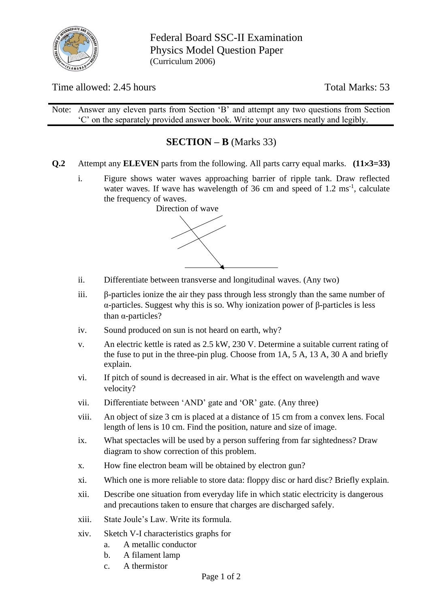

Federal Board SSC-II Examination Physics Model Question Paper (Curriculum 2006)

Time allowed: 2.45 hours Total Marks: 53

Note: Answer any eleven parts from Section 'B' and attempt any two questions from Section 'C' on the separately provided answer book. Write your answers neatly and legibly.

# **SECTION – B** (Marks 33)

- **Q.2** Attempt any **ELEVEN** parts from the following. All parts carry equal marks. **(113=33)**
	- i. Figure shows water waves approaching barrier of ripple tank. Draw reflected water waves. If wave has wavelength of  $36 \text{ cm}$  and speed of  $1.2 \text{ ms}^{-1}$ , calculate the frequency of waves.



- ii. Differentiate between transverse and longitudinal waves. (Any two)
- iii. β-particles ionize the air they pass through less strongly than the same number of α-particles. Suggest why this is so. Why ionization power of β-particles is less than α-particles?
- iv. Sound produced on sun is not heard on earth, why?
- v. An electric kettle is rated as 2.5 kW, 230 V. Determine a suitable current rating of the fuse to put in the three-pin plug. Choose from 1A, 5 A, 13 A, 30 A and briefly explain.
- vi. If pitch of sound is decreased in air. What is the effect on wavelength and wave velocity?
- vii. Differentiate between 'AND' gate and 'OR' gate. (Any three)
- viii. An object of size 3 cm is placed at a distance of 15 cm from a convex lens. Focal length of lens is 10 cm. Find the position, nature and size of image.
- ix. What spectacles will be used by a person suffering from far sightedness? Draw diagram to show correction of this problem.
- x. How fine electron beam will be obtained by electron gun?
- xi. Which one is more reliable to store data: floppy disc or hard disc? Briefly explain.
- xii. Describe one situation from everyday life in which static electricity is dangerous and precautions taken to ensure that charges are discharged safely.
- xiii. State Joule's Law. Write its formula.
- xiv. Sketch V-I characteristics graphs for
	- a. A metallic conductor
	- b. A filament lamp
	- c. A thermistor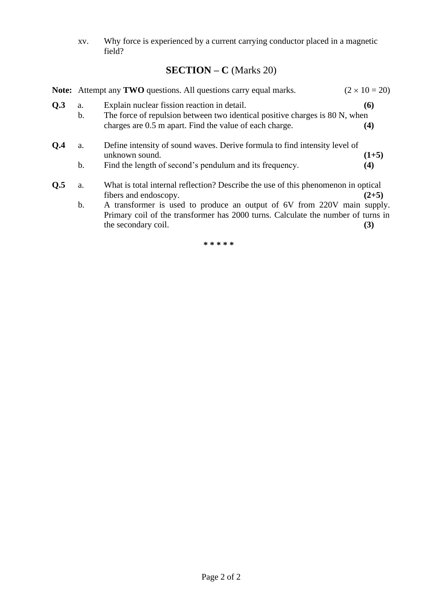xv. Why force is experienced by a current carrying conductor placed in a magnetic field?

# **SECTION – C** (Marks 20)

|     | $(2 \times 10 = 20)$<br><b>Note:</b> Attempt any <b>TWO</b> questions. All questions carry equal marks. |                                                                                                                                                                                                                                                                                                  |                 |  |  |  |  |
|-----|---------------------------------------------------------------------------------------------------------|--------------------------------------------------------------------------------------------------------------------------------------------------------------------------------------------------------------------------------------------------------------------------------------------------|-----------------|--|--|--|--|
| Q.3 | a.<br>b.                                                                                                | Explain nuclear fission reaction in detail.<br>The force of repulsion between two identical positive charges is 80 N, when<br>charges are 0.5 m apart. Find the value of each charge.                                                                                                            | (6)<br>$\bf(4)$ |  |  |  |  |
| O.4 | a.<br>$\mathbf b$ .                                                                                     | Define intensity of sound waves. Derive formula to find intensity level of<br>unknown sound.<br>Find the length of second's pendulum and its frequency.                                                                                                                                          | $(1+5)$<br>(4)  |  |  |  |  |
| Q.5 | a.<br>$\mathbf b$ .                                                                                     | What is total internal reflection? Describe the use of this phenomenon in optical<br>fibers and endoscopy.<br>A transformer is used to produce an output of 6V from 220V main supply.<br>Primary coil of the transformer has 2000 turns. Calculate the number of turns in<br>the secondary coil. | $(2+5)$<br>(3)  |  |  |  |  |

**\* \* \* \* \***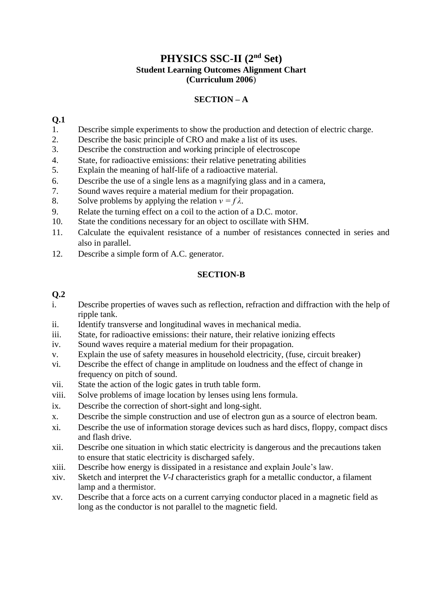# **PHYSICS SSC-II (2nd Set) Student Learning Outcomes Alignment Chart (Curriculum 2006**)

## **SECTION – A**

#### **Q.1**

- 1. Describe simple experiments to show the production and detection of electric charge.
- 2. Describe the basic principle of CRO and make a list of its uses.
- 3. Describe the construction and working principle of electroscope
- 4. State, for radioactive emissions: their relative penetrating abilities
- 5. Explain the meaning of half-life of a radioactive material.
- 6. Describe the use of a single lens as a magnifying glass and in a camera,
- 7. Sound waves require a material medium for their propagation.
- 8. Solve problems by applying the relation  $v = f \lambda$ .
- 9. Relate the turning effect on a coil to the action of a D.C. motor.
- 10. State the conditions necessary for an object to oscillate with SHM.
- 11. Calculate the equivalent resistance of a number of resistances connected in series and also in parallel.
- 12. Describe a simple form of A.C. generator.

#### **SECTION-B**

### **Q.2**

- i. Describe properties of waves such as reflection, refraction and diffraction with the help of ripple tank.
- ii. Identify transverse and longitudinal waves in mechanical media.
- iii. State, for radioactive emissions: their nature, their relative ionizing effects
- iv. Sound waves require a material medium for their propagation.
- v. Explain the use of safety measures in household electricity, (fuse, circuit breaker)
- vi. Describe the effect of change in amplitude on loudness and the effect of change in frequency on pitch of sound.
- vii. State the action of the logic gates in truth table form.
- viii. Solve problems of image location by lenses using lens formula.
- ix. Describe the correction of short-sight and long-sight.
- x. Describe the simple construction and use of electron gun as a source of electron beam.
- xi. Describe the use of information storage devices such as hard discs, floppy, compact discs and flash drive.
- xii. Describe one situation in which static electricity is dangerous and the precautions taken to ensure that static electricity is discharged safely.
- xiii. Describe how energy is dissipated in a resistance and explain Joule's law.
- xiv. Sketch and interpret the *V-I* characteristics graph for a metallic conductor, a filament lamp and a thermistor.
- xv. Describe that a force acts on a current carrying conductor placed in a magnetic field as long as the conductor is not parallel to the magnetic field.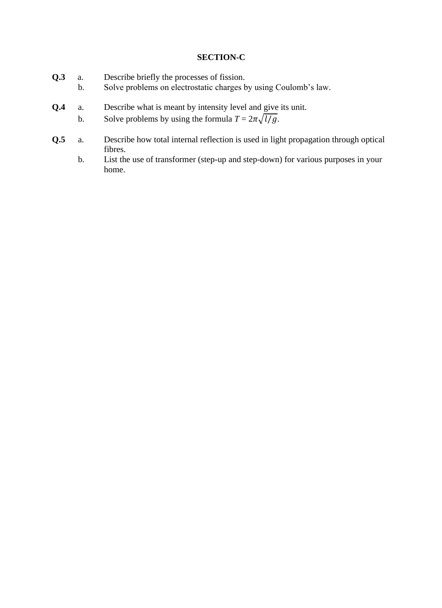#### **SECTION-C**

- **Q.3** a. Describe briefly the processes of fission.
	- b. Solve problems on electrostatic charges by using Coulomb's law.
- **Q.4** a. Describe what is meant by intensity level and give its unit.
	- b. Solve problems by using the formula  $T = 2\pi \sqrt{l/g}$ .
- **Q.5** a. Describe how total internal reflection is used in light propagation through optical fibres.
	- b. List the use of transformer (step-up and step-down) for various purposes in your home.